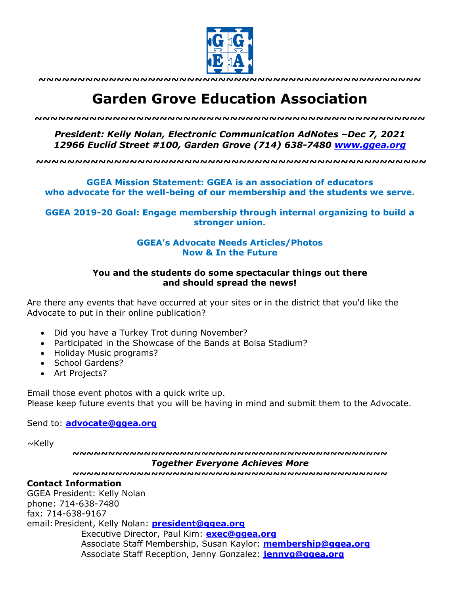

**~~~~~~~~~~~~~~~~~~~~~~~~~~~~~~~~~~~~~~~~~~~~~~~~~**

## **Garden Grove Education Association**

*~~~~~~~~~~~~~~~~~~~~~~~~~~~~~~~~~~~~~~~~~~~~~~~~~~*

*President: Kelly Nolan, Electronic Communication AdNotes –Dec 7, 2021 12966 Euclid Street #100, Garden Grove (714) 638-7480 www.ggea.org*

**~~~~~~~~~~~~~~~~~~~~~~~~~~~~~~~~~~~~~~~~~~~~~~~~~~**

**GGEA Mission Statement: GGEA is an association of educators who advocate for the well-being of our membership and the students we serve.**

**GGEA 2019-20 Goal: Engage membership through internal organizing to build a stronger union.**

## **GGEA's Advocate Needs Articles/Photos Now & In the Future**

## **You and the students do some spectacular things out there and should spread the news!**

Are there any events that have occurred at your sites or in the district that you'd like the Advocate to put in their online publication?

- Did you have a Turkey Trot during November?
- Participated in the Showcase of the Bands at Bolsa Stadium?
- Holiday Music programs?
- School Gardens?
- Art Projects?

Email those event photos with a quick write up. Please keep future events that you will be having in mind and submit them to the Advocate.

Send to: **advocate@ggea.org**

 $\sim$ Kelly

**~~~~~~~~~~~~~~~~~~~~~~~~~~~~~~~~~~~~~~~~~~~~** *Together Everyone Achieves More*

**~~~~~~~~~~~~~~~~~~~~~~~~~~~~~~~~~~~~~~~~~~~~**

## **Contact Information**

GGEA President: Kelly Nolan phone: 714-638-7480 fax: 714-638-9167 email:President, Kelly Nolan: **president@ggea.org** Executive Director, Paul Kim: **exec@ggea.org** Associate Staff Membership, Susan Kaylor: **membership@ggea.org** Associate Staff Reception, Jenny Gonzalez: **jennyg@ggea.org**